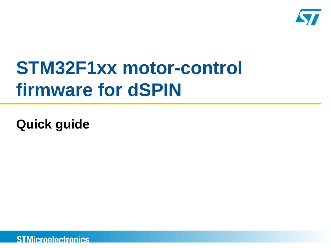

# **STM32F1xx motor-control firmware for dSPIN**

**Quick guide**

**STMicroelectronics**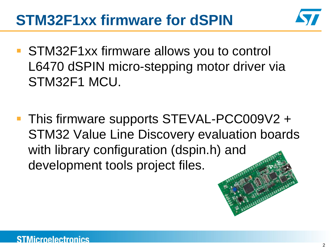### **STM32F1xx firmware for dSPIN**



- STM32F1xx firmware allows you to control L6470 dSPIN micro-stepping motor driver via STM32F1 MCU.
- This firmware supports STEVAL-PCC009V2 + STM32 Value Line Discovery evaluation boards with library configuration (dspin.h[\) and](http://www.st.com/internet/com/MULTIMEDIA_RESOURCES/IMAGE/BOARD_PHOTO/board_stm32vl_discovery.jpg)  development tools project files.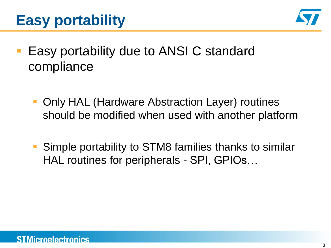



- Easy portability due to ANSI C standard compliance
	- Only HAL (Hardware Abstraction Layer) routines should be modified when used with another platform
	- Simple portability to STM8 families thanks to similar HAL routines for peripherals - SPI, GPIOs…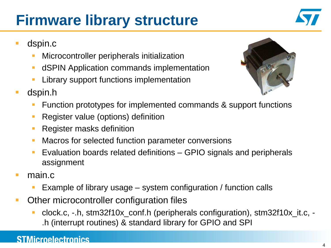## **Firmware library structure**



- dspin.c
	- Microcontroller peripherals initialization
	- **dICPIN Application commands implementation**
	- **Library support functions implementation**
- dspin.h



- Function prototypes for implemented commands & support functions
- Register value (options) definition
- **Register masks definition**
- **Macros for selected function parameter conversions**
- Evaluation boards related definitions GPIO signals and peripherals assignment
- main.c
	- Example of library usage system configuration / function calls
- **Other microcontroller configuration files** 
	- clock.c, -.h, stm32f10x\_conf.h (peripherals configuration), stm32f10x\_it.c, .h (interrupt routines) & standard library for GPIO and SPI

#### **STMicroelectronics**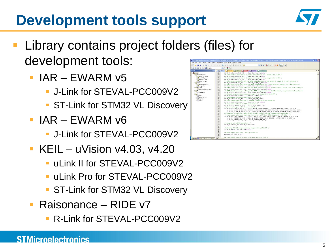### **Development tools support**



- Library contains project folders (files) for development tools:
	- $IAR EWARM v5$ 
		- **J-Link for STEVAL-PCC009V2**
		- **ST-Link for STM32 VL Discovery**
	- $IAR EWARM V6$ 
		- J-Link for STEVAL-PCC009V2
	- $\blacksquare$  KEIL uVision v4.03, v4.20
		- **ULINK II for STEVAL-PCC009V2**
		- uLink Pro for STEVAL-PCC009V2
		- **ST-Link for STM32 VL Discovery**
	- Raisonance RIDE v7
		- R-Link for STEVAL-PCC009V2

|                                                         | E P:\EMMA\Analog Control and Motion\_Projects\EMMA510_dSPBK firmware library for STM32\Firmware\Project\dSPBK_SPI_STEVAL_PCCOO9V2\ADX-ARM_4_20_uLink_II\dSPBK_uvp                                                                                                       | $-10$ $\times$         |
|---------------------------------------------------------|-------------------------------------------------------------------------------------------------------------------------------------------------------------------------------------------------------------------------------------------------------------------------|------------------------|
|                                                         | Elle Edit View Broject Figsh Debug Peripherals Tools SVCS Window Help                                                                                                                                                                                                   |                        |
| <b>MAGE</b>                                             | <b>A 3 4 4 5 6 6 6 6 7 4 5 4 5 4 5 7 4 6 7 4 5 4 5 4 6 7 4 6 7 4 6 7 4 6 7 4 6 7 4 6 7 4 6 7 4 6 7 4 6 7 4 6 7 4 6 7 4 6 7 4 6 7 4 6 7 4 6 7 4 6 7 4 6 7 4 6 7 4 6 7 4 6 7 4 6 7 4 6 7 4 6 7 4 6 7 4 6 7 4 6 7 4 6 7 4 6 7 4 6 7</b><br>A 4 选 つ P 中 中 P 化 色 P 作 深 正 版 2 |                        |
| 多山西学员 算 69%                                             | 璼<br>$\mathbb{R}$<br>÷<br>×                                                                                                                                                                                                                                             |                        |
|                                                         |                                                                                                                                                                                                                                                                         |                        |
| $C^*$ $\times$<br>Project                               | 1 dock.c   dipinh   dipinc   alinh   mainA   readment                                                                                                                                                                                                                   | $\rightarrow$ $\times$ |
| $\equiv$ $\equiv$ dsPDV                                 | 098<br>dSPIN RegeStruct. KVAL RON = Eval Perc to Par(10);                                                                                                                                                                                                               |                        |
| H-E StdPeriph Driver<br>$\leftarrow$ 1 stm32f10x opio.c | 039<br>/* Acceleration duty cycle (torque) settings to 10%, range 0 to 99.6% */<br>090<br>dSPIN_RegsStruct.KVAL_ACC = Eval_Perc_to_Par(10);                                                                                                                             |                        |
| $\frac{1}{2}$ stm32f10x rcc.c                           | 091<br>/* Beceleration duty cycle (torque) settings to 10%, range 0 to 99.6% */                                                                                                                                                                                         |                        |
| $\left  \frac{1}{n} \right $ stra32f10x_flash.c         | 092<br>dSPIN RegaStruct.KVAL DEC = Eval Perc to Par(10);                                                                                                                                                                                                                |                        |
| $+$ al stridized to: sex.c.                             | 093<br>/* Intersect speed settings for BEMF compensation to 200 steps/s, renge 0 to 3906 steps/s */                                                                                                                                                                     |                        |
| E CHSIS                                                 | 034<br>dSPIN RegsStruct. INT SPD<br>- IntSpd Steps to Par (200) ;                                                                                                                                                                                                       |                        |
| $\left  \cdot \right $ system_stm32f10.c.c.             | 055<br>/* BEMF start slope settings for BEMF compensation to 0.0384 step/s, range 0 to 0.4% s/step */                                                                                                                                                                   |                        |
| $\leftarrow$ $\leftarrow$ core cm3.c                    | 096<br>dSPIN RegsStruct.ST SLP<br>= BEMF Slope Perc to Par(0.018);<br>037                                                                                                                                                                                               |                        |
| EL EL MDK-ARM<br>startup_stru32f10x_md.s                | /* BEMF final acc slope settings for BEMF compensation to 0.063% step/s, range 0 to 0.4% s/step */<br>098<br>dSPIN RegsStruct.fN SLP ACC - BEMF Slope Perc to Par(0.063);                                                                                               |                        |
| <b>EF END</b> Doc                                       | 099<br>/* BEMF final dec slope settings for BEMF compensation to 0.063% step/s, range 0 to 0.4% s/step */                                                                                                                                                               |                        |
| a readme.txt                                            | 100<br>dSPIN RegsStruct. FN SLP DEC - BENT Slope Perc to Par(0.063);                                                                                                                                                                                                    |                        |
| El dig User                                             | 101<br>/* Thermal compensation param settings to 1, range 1 to 1.46875 */                                                                                                                                                                                               |                        |
| F flinanc                                               | 100<br>dSPIN_RegsStruct.K_THERM<br>= ETherm to Par(1);                                                                                                                                                                                                                  |                        |
| (e) (f) stm32f10x_R.c                                   | 100<br>/* Overcurrent threshold settings to 1500ml */                                                                                                                                                                                                                   |                        |
| E El dipin.c                                            | 104<br>= dSPIN OCD TH 1500mA;<br>dSPIN RegsStruct. OCD TH                                                                                                                                                                                                               |                        |
| $\mathbb{R}$ $\Omega$ clock.c                           | 105<br>/* Stall threshold settinos to 1000mA, range 31,25 to 4000mA */<br>106                                                                                                                                                                                           |                        |
|                                                         | dSPIN RegsStruct. STALL TH = StallTh to Par(1000);<br>107<br>/* Step mode settings to 128 microsteps */                                                                                                                                                                 |                        |
|                                                         | 108<br>dSPIN_RegsStruct.STEP_NODE - dSPIN_STEP_SEL_1_128;                                                                                                                                                                                                               |                        |
|                                                         | 109<br>/* Alarm settings - all alarms enabled */                                                                                                                                                                                                                        |                        |
|                                                         | 118<br>dSPIN RegeStruct.ALARM EN = dSPIN ALARM EN OVERCURRENT   dSPIN ALARM EN THERMAL SHUTDOWN                                                                                                                                                                         |                        |
|                                                         | 111<br>dSPIN ALARM EN THERMAL WARNING   dSPIN ALARM EN UNDER VOLTAGE   dSPIN ALARM EN STALL DET A                                                                                                                                                                       |                        |
|                                                         | 112<br>dSPIN ALARM EN STALL DET B   dSPIN ALARM EN SO TURN ON   dSPIN ALARM EN URONG NPERF CMD;                                                                                                                                                                         |                        |
|                                                         | 113<br>/* Internal oscillator, 2MHz OSCOUT clock, supply voltage compensation disabled, *                                                                                                                                                                               |                        |
|                                                         | 114<br>* overcurrent shutdown enabled, slew-rate = 290 V/as, PMM frequency = 15.6kHz */<br>115                                                                                                                                                                          |                        |
|                                                         | dSPIN RegsStruct.CONFIG<br>- dSPIN CONFIG INT 16MHZ OSCOUT 2MHZ   dSPIN CONFIG SW HARD STOP<br>116<br>dSPIN CONFIG VS COMP DISABLE   dSPIN CONFIG OC SD ENABLE   dSPIN CONFIG SR 290V us                                                                                |                        |
|                                                         | 117<br>dSPIN CONFIG PWM DIV 2   dSPIN CONFIG PWM MUL 1:                                                                                                                                                                                                                 |                        |
|                                                         | 118                                                                                                                                                                                                                                                                     |                        |
|                                                         | 119<br>/* Program all dSPIN requeters */                                                                                                                                                                                                                                |                        |
|                                                         | 120<br>dSPIN Registers Set(4dSPIN RegaStruct);                                                                                                                                                                                                                          |                        |
|                                                         | 121                                                                                                                                                                                                                                                                     |                        |
|                                                         | 122<br>/* Move by 60,000 steps rorward, range 0 to 4,194,303 */                                                                                                                                                                                                         |                        |
|                                                         | 123<br>dSPIN Move(FWD, (uint32 t)(60000));<br>124                                                                                                                                                                                                                       |                        |
|                                                         | 125<br>/* Wait untill not busy - busy pin test */                                                                                                                                                                                                                       |                        |
|                                                         | 126<br>while(dSPIN Busy HW());                                                                                                                                                                                                                                          |                        |
|                                                         | 127                                                                                                                                                                                                                                                                     |                        |
| Project & Books   (1 Func., B. Temp.,                   | 125<br>74 Pough APRIVE accompany to the moment hand the second and it at the AT                                                                                                                                                                                         |                        |
|                                                         | .                                                                                                                                                                                                                                                                       |                        |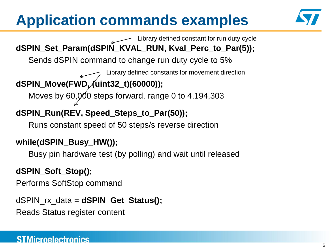## **Application commands examples**



**dSPIN\_Set\_Param(dSPIN\_KVAL\_RUN, Kval\_Perc\_to\_Par(5));** Sends dSPIN command to change run duty cycle to 5% **dSPIN\_Move(FWD, (uint32\_t)(60000));** Moves by  $60,000$  steps forward, range 0 to 4,194,303 Library defined constants for movement direction Library defined constant for run duty cycle

#### **dSPIN\_Run(REV, Speed\_Steps\_to\_Par(50));**

Runs constant speed of 50 steps/s reverse direction

#### **while(dSPIN\_Busy\_HW());**

Busy pin hardware test (by polling) and wait until released

#### **dSPIN\_Soft\_Stop();**

Performs SoftStop command

dSPIN\_rx\_data = **dSPIN\_Get\_Status();**

Reads Status register content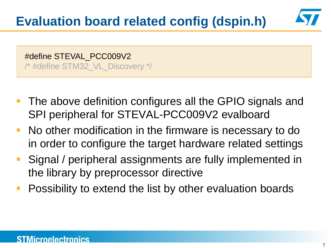#define STEVAL\_PCC009V2 /\* #define STM32\_VL\_Discovery \*/

- The above definition configures all the GPIO signals and SPI peripheral for STEVAL-PCC009V2 evalboard
- **No other modification in the firmware is necessary to do** in order to configure the target hardware related settings
- **Signal / peripheral assignments are fully implemented in** the library by preprocessor directive
- Possibility to extend the list by other evaluation boards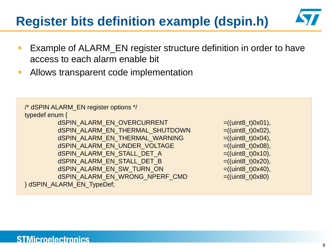### **Register bits definition example (dspin.h)**

- Example of ALARM\_EN register structure definition in order to have access to each alarm enable bit
- **Allows transparent code implementation**

```
/* dSPIN ALARM_EN register options */
typedef enum {
        dSPIN_ALARM_EN_OVERCURRENT =((\text{uint8}_t)0x01),dSPIN_ALARM_EN_THERMAL_SHUTDOWN =((\text{uint8 t})0x02),
        dSPIN_ALARM_EN_THERMAL_WARNING =((\text{uint8}_t)0x04),dSPIN_ALARM_EN_UNDER_VOLTAGE = ((uint8_t)0x08),
        dSPIN_ALARM_EN_STALL_DET_A =((\text{uint8 t})0x10),
        dSPIN_ALARM_EN_STALL_DET_B =((\text{uint8}_t)0x20),dSPIN_ALARM_EN_SW_TURN_ON =((uint8_t)0x40),
        dSPIN_ALARM_EN_WRONG_NPERF_CMD =((uint8_t)0x80)} dSPIN_ALARM_EN_TypeDef;
```